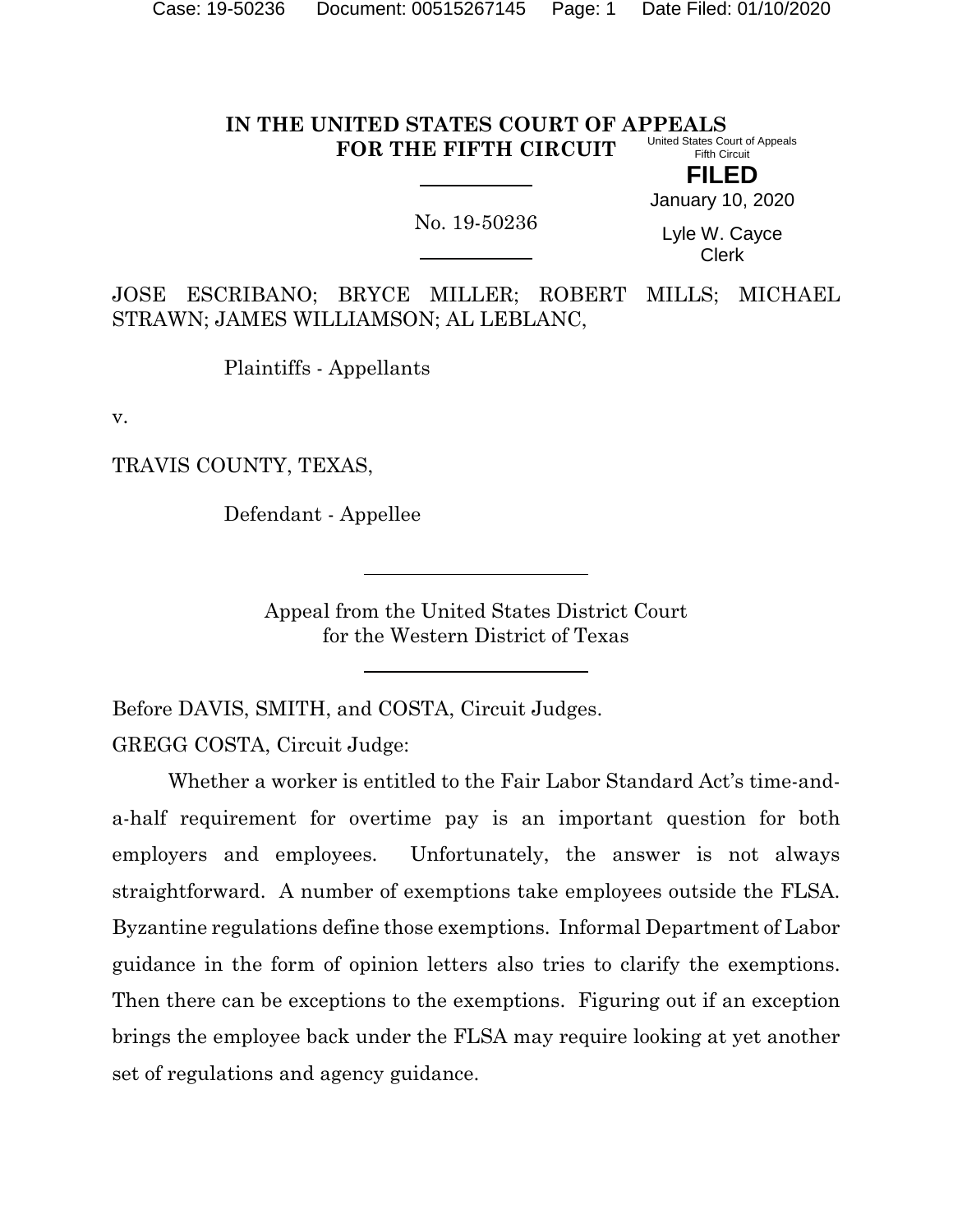#### **IN THE UNITED STATES COURT OF APPEALS FOR THE FIFTH CIRCUIT** United States Court of Appeals Fifth Circuit

**FILED**

No. 19-50236

January 10, 2020

Lyle W. Cayce Clerk

JOSE ESCRIBANO; BRYCE MILLER; ROBERT MILLS; MICHAEL STRAWN; JAMES WILLIAMSON; AL LEBLANC,

Plaintiffs - Appellants

v.

TRAVIS COUNTY, TEXAS,

Defendant - Appellee

Appeal from the United States District Court for the Western District of Texas

Before DAVIS, SMITH, and COSTA, Circuit Judges.

GREGG COSTA, Circuit Judge:

Whether a worker is entitled to the Fair Labor Standard Act's time-anda-half requirement for overtime pay is an important question for both employers and employees. Unfortunately, the answer is not always straightforward. A number of exemptions take employees outside the FLSA. Byzantine regulations define those exemptions. Informal Department of Labor guidance in the form of opinion letters also tries to clarify the exemptions. Then there can be exceptions to the exemptions. Figuring out if an exception brings the employee back under the FLSA may require looking at yet another set of regulations and agency guidance.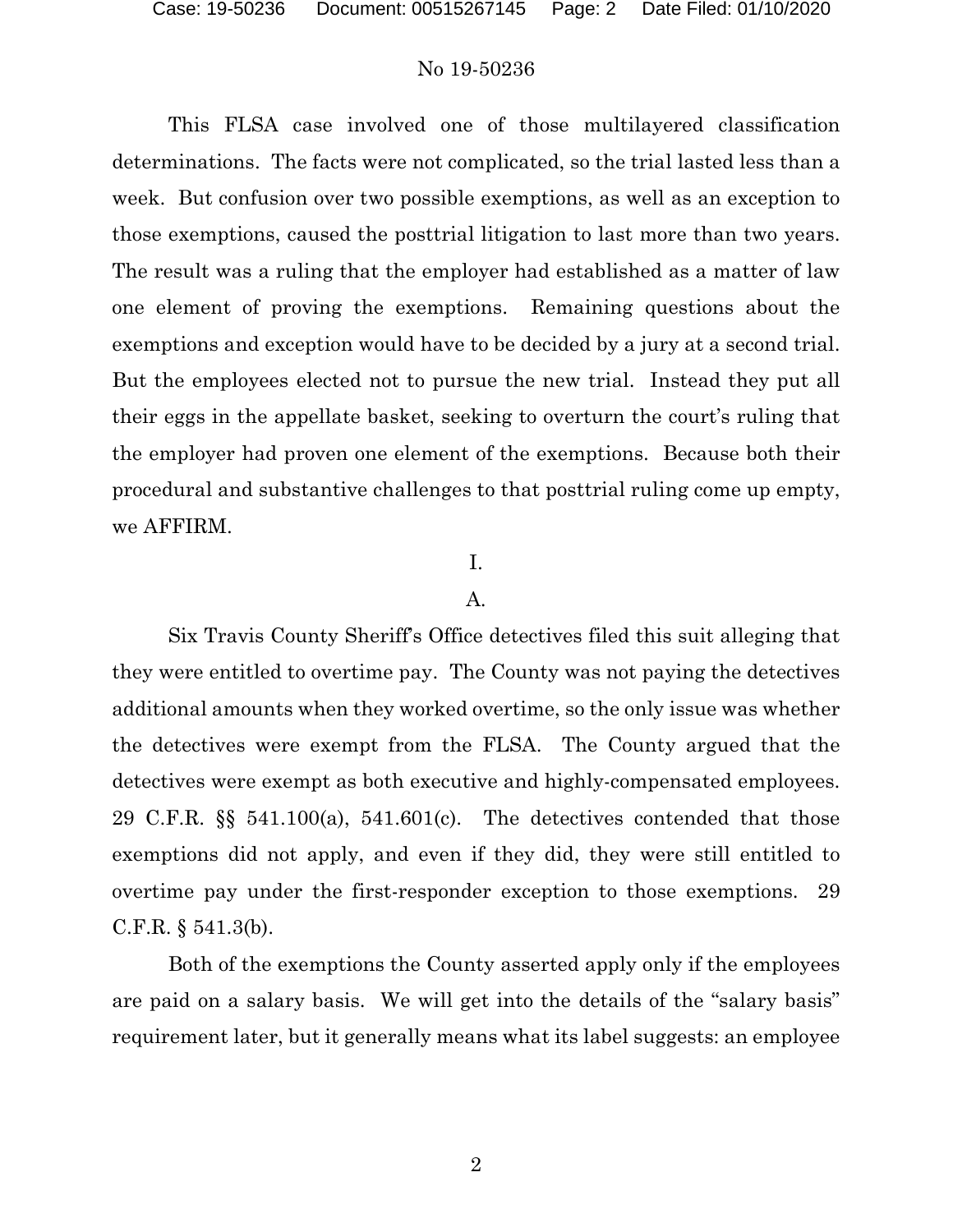This FLSA case involved one of those multilayered classification determinations. The facts were not complicated, so the trial lasted less than a week. But confusion over two possible exemptions, as well as an exception to those exemptions, caused the posttrial litigation to last more than two years. The result was a ruling that the employer had established as a matter of law one element of proving the exemptions. Remaining questions about the exemptions and exception would have to be decided by a jury at a second trial. But the employees elected not to pursue the new trial. Instead they put all their eggs in the appellate basket, seeking to overturn the court's ruling that the employer had proven one element of the exemptions. Because both their procedural and substantive challenges to that posttrial ruling come up empty, we AFFIRM.

## I.

## A.

Six Travis County Sheriff's Office detectives filed this suit alleging that they were entitled to overtime pay. The County was not paying the detectives additional amounts when they worked overtime, so the only issue was whether the detectives were exempt from the FLSA. The County argued that the detectives were exempt as both executive and highly-compensated employees. 29 C.F.R. §§ 541.100(a), 541.601(c). The detectives contended that those exemptions did not apply, and even if they did, they were still entitled to overtime pay under the first-responder exception to those exemptions. 29 C.F.R. § 541.3(b).

Both of the exemptions the County asserted apply only if the employees are paid on a salary basis. We will get into the details of the "salary basis" requirement later, but it generally means what its label suggests: an employee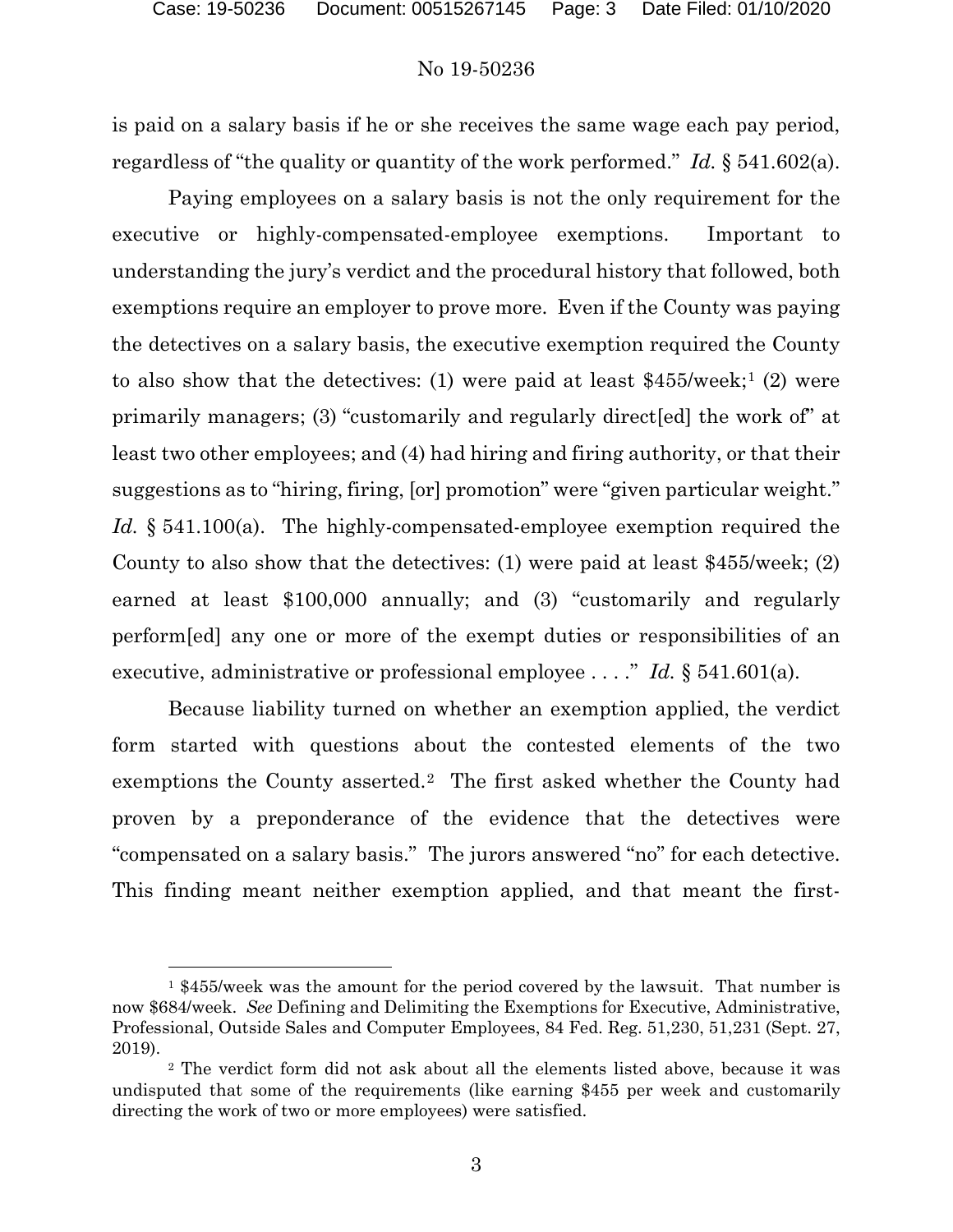is paid on a salary basis if he or she receives the same wage each pay period, regardless of "the quality or quantity of the work performed." *Id.* § 541.602(a).

Paying employees on a salary basis is not the only requirement for the executive or highly-compensated-employee exemptions. Important to understanding the jury's verdict and the procedural history that followed, both exemptions require an employer to prove more. Even if the County was paying the detectives on a salary basis, the executive exemption required the County to also show that the detectives: ([1](#page-2-0)) were paid at least  $$455/$ week;<sup>1</sup> (2) were primarily managers; (3) "customarily and regularly direct[ed] the work of" at least two other employees; and (4) had hiring and firing authority, or that their suggestions as to "hiring, firing, [or] promotion" were "given particular weight." *Id.* § 541.100(a). The highly-compensated-employee exemption required the County to also show that the detectives: (1) were paid at least \$455/week; (2) earned at least \$100,000 annually; and (3) "customarily and regularly perform[ed] any one or more of the exempt duties or responsibilities of an executive, administrative or professional employee . . . ." *Id.* § 541.601(a).

Because liability turned on whether an exemption applied, the verdict form started with questions about the contested elements of the two exemptions the County asserted.<sup>[2](#page-2-1)</sup> The first asked whether the County had proven by a preponderance of the evidence that the detectives were "compensated on a salary basis." The jurors answered "no" for each detective. This finding meant neither exemption applied, and that meant the first-

 $\overline{a}$ 

<span id="page-2-0"></span> $1$  \$455/week was the amount for the period covered by the lawsuit. That number is now \$684/week. *See* Defining and Delimiting the Exemptions for Executive, Administrative, Professional, Outside Sales and Computer Employees, 84 Fed. Reg. 51,230, 51,231 (Sept. 27, 2019).

<span id="page-2-1"></span><sup>2</sup> The verdict form did not ask about all the elements listed above, because it was undisputed that some of the requirements (like earning \$455 per week and customarily directing the work of two or more employees) were satisfied.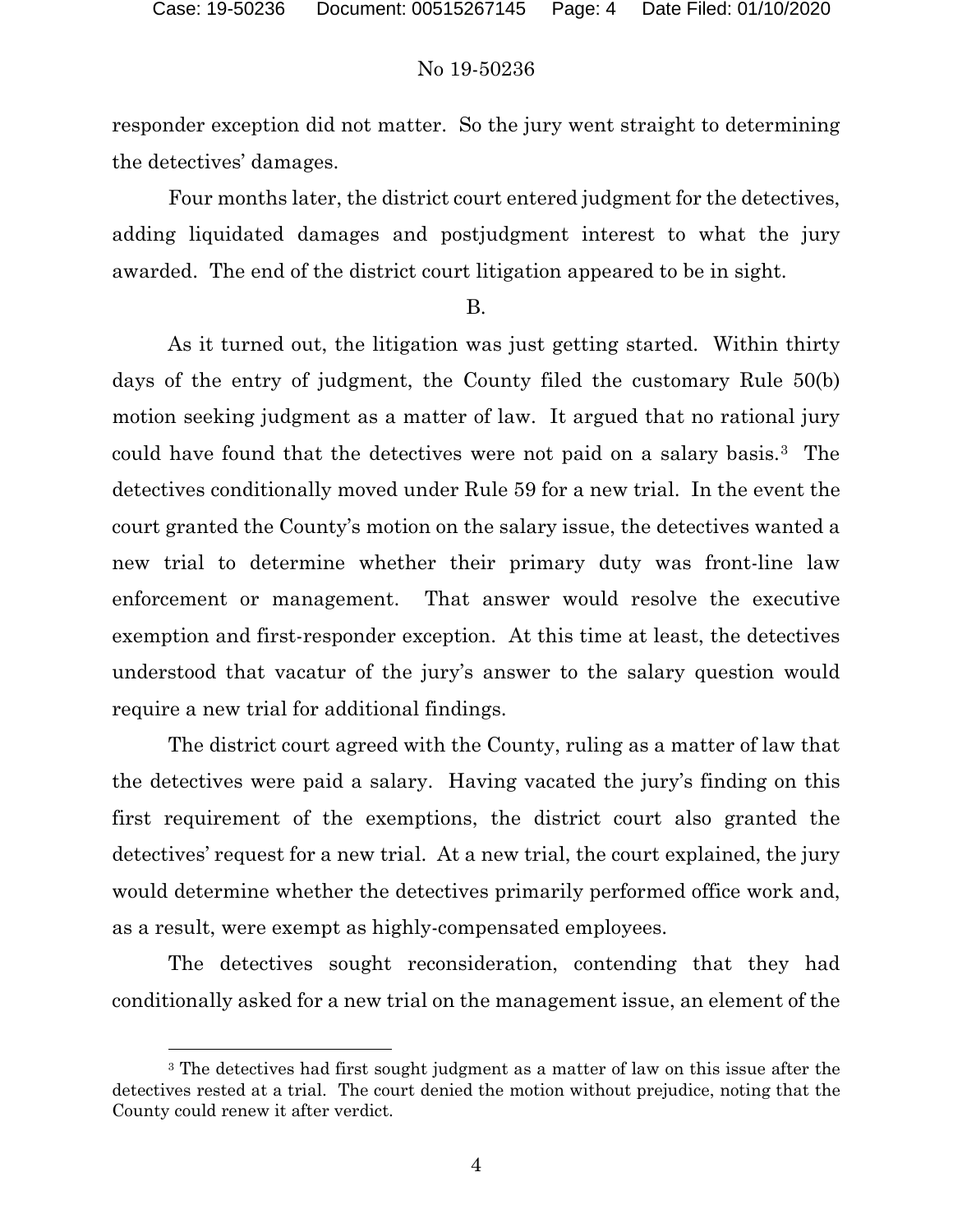responder exception did not matter. So the jury went straight to determining the detectives' damages.

Four months later, the district court entered judgment for the detectives, adding liquidated damages and postjudgment interest to what the jury awarded. The end of the district court litigation appeared to be in sight.

#### B.

As it turned out, the litigation was just getting started. Within thirty days of the entry of judgment, the County filed the customary Rule 50(b) motion seeking judgment as a matter of law. It argued that no rational jury could have found that the detectives were not paid on a salary basis.[3](#page-3-0) The detectives conditionally moved under Rule 59 for a new trial. In the event the court granted the County's motion on the salary issue, the detectives wanted a new trial to determine whether their primary duty was front-line law enforcement or management. That answer would resolve the executive exemption and first-responder exception. At this time at least, the detectives understood that vacatur of the jury's answer to the salary question would require a new trial for additional findings.

The district court agreed with the County, ruling as a matter of law that the detectives were paid a salary. Having vacated the jury's finding on this first requirement of the exemptions, the district court also granted the detectives' request for a new trial. At a new trial, the court explained, the jury would determine whether the detectives primarily performed office work and, as a result, were exempt as highly-compensated employees.

The detectives sought reconsideration, contending that they had conditionally asked for a new trial on the management issue, an element of the

l

<span id="page-3-0"></span><sup>3</sup> The detectives had first sought judgment as a matter of law on this issue after the detectives rested at a trial. The court denied the motion without prejudice, noting that the County could renew it after verdict.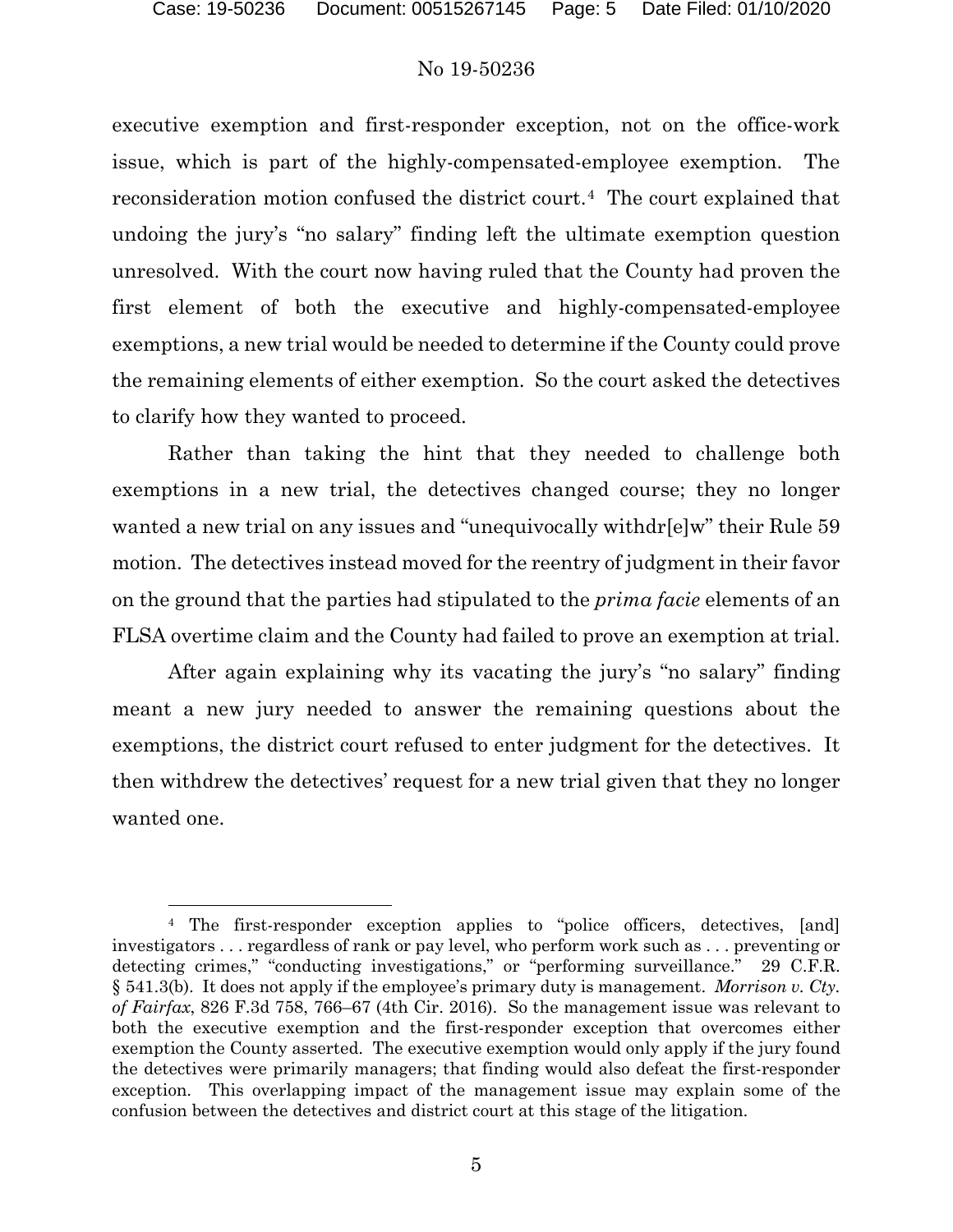$\overline{a}$ 

# No 19-50236

executive exemption and first-responder exception, not on the office-work issue, which is part of the highly-compensated-employee exemption. The reconsideration motion confused the district court.[4](#page-4-0) The court explained that undoing the jury's "no salary" finding left the ultimate exemption question unresolved. With the court now having ruled that the County had proven the first element of both the executive and highly-compensated-employee exemptions, a new trial would be needed to determine if the County could prove the remaining elements of either exemption. So the court asked the detectives to clarify how they wanted to proceed.

Rather than taking the hint that they needed to challenge both exemptions in a new trial, the detectives changed course; they no longer wanted a new trial on any issues and "unequivocally withdr[e]w" their Rule 59 motion. The detectives instead moved for the reentry of judgment in their favor on the ground that the parties had stipulated to the *prima facie* elements of an FLSA overtime claim and the County had failed to prove an exemption at trial.

After again explaining why its vacating the jury's "no salary" finding meant a new jury needed to answer the remaining questions about the exemptions, the district court refused to enter judgment for the detectives. It then withdrew the detectives' request for a new trial given that they no longer wanted one.

<span id="page-4-0"></span><sup>4</sup> The first-responder exception applies to "police officers, detectives, [and] investigators . . . regardless of rank or pay level, who perform work such as . . . preventing or detecting crimes," "conducting investigations," or "performing surveillance." 29 C.F.R. § 541.3(b). It does not apply if the employee's primary duty is management. *Morrison v. Cty. of Fairfax*, 826 F.3d 758, 766–67 (4th Cir. 2016). So the management issue was relevant to both the executive exemption and the first-responder exception that overcomes either exemption the County asserted. The executive exemption would only apply if the jury found the detectives were primarily managers; that finding would also defeat the first-responder exception. This overlapping impact of the management issue may explain some of the confusion between the detectives and district court at this stage of the litigation.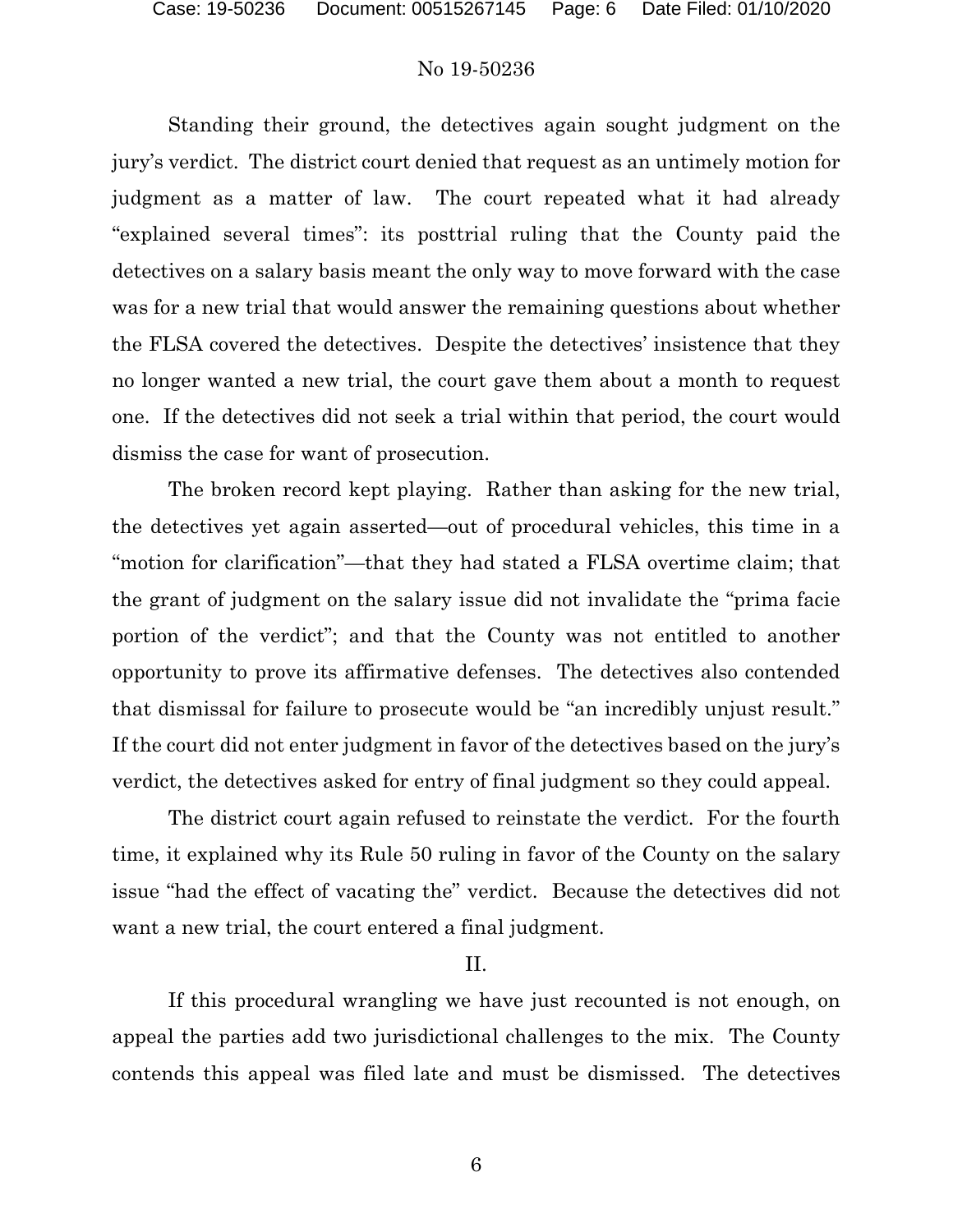Standing their ground, the detectives again sought judgment on the jury's verdict. The district court denied that request as an untimely motion for judgment as a matter of law. The court repeated what it had already "explained several times": its posttrial ruling that the County paid the detectives on a salary basis meant the only way to move forward with the case was for a new trial that would answer the remaining questions about whether the FLSA covered the detectives. Despite the detectives' insistence that they no longer wanted a new trial, the court gave them about a month to request one. If the detectives did not seek a trial within that period, the court would dismiss the case for want of prosecution.

The broken record kept playing. Rather than asking for the new trial, the detectives yet again asserted—out of procedural vehicles, this time in a "motion for clarification"—that they had stated a FLSA overtime claim; that the grant of judgment on the salary issue did not invalidate the "prima facie portion of the verdict"; and that the County was not entitled to another opportunity to prove its affirmative defenses. The detectives also contended that dismissal for failure to prosecute would be "an incredibly unjust result." If the court did not enter judgment in favor of the detectives based on the jury's verdict, the detectives asked for entry of final judgment so they could appeal.

The district court again refused to reinstate the verdict. For the fourth time, it explained why its Rule 50 ruling in favor of the County on the salary issue "had the effect of vacating the" verdict. Because the detectives did not want a new trial, the court entered a final judgment.

# II.

If this procedural wrangling we have just recounted is not enough, on appeal the parties add two jurisdictional challenges to the mix. The County contends this appeal was filed late and must be dismissed. The detectives

6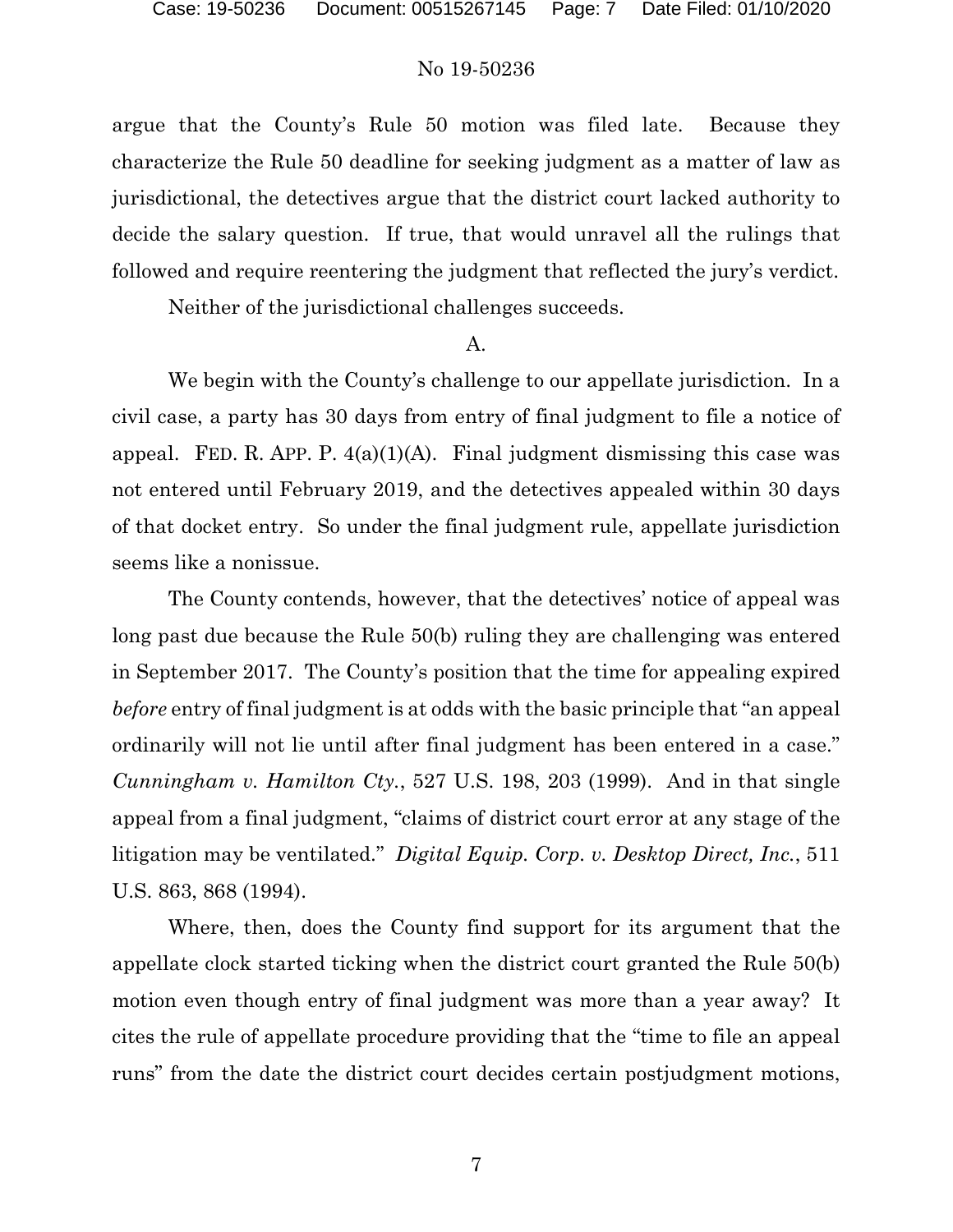argue that the County's Rule 50 motion was filed late. Because they characterize the Rule 50 deadline for seeking judgment as a matter of law as jurisdictional, the detectives argue that the district court lacked authority to decide the salary question. If true, that would unravel all the rulings that followed and require reentering the judgment that reflected the jury's verdict.

Neither of the jurisdictional challenges succeeds.

# A.

We begin with the County's challenge to our appellate jurisdiction. In a civil case, a party has 30 days from entry of final judgment to file a notice of appeal. FED. R. APP. P.  $4(a)(1)(A)$ . Final judgment dismissing this case was not entered until February 2019, and the detectives appealed within 30 days of that docket entry. So under the final judgment rule, appellate jurisdiction seems like a nonissue.

The County contends, however, that the detectives' notice of appeal was long past due because the Rule 50(b) ruling they are challenging was entered in September 2017. The County's position that the time for appealing expired *before* entry of final judgment is at odds with the basic principle that "an appeal ordinarily will not lie until after final judgment has been entered in a case." *Cunningham v. Hamilton Cty.*, 527 U.S. 198, 203 (1999). And in that single appeal from a final judgment, "claims of district court error at any stage of the litigation may be ventilated." *Digital Equip. Corp. v. Desktop Direct, Inc.*, 511 U.S. 863, 868 (1994).

Where, then, does the County find support for its argument that the appellate clock started ticking when the district court granted the Rule 50(b) motion even though entry of final judgment was more than a year away? It cites the rule of appellate procedure providing that the "time to file an appeal runs" from the date the district court decides certain postjudgment motions,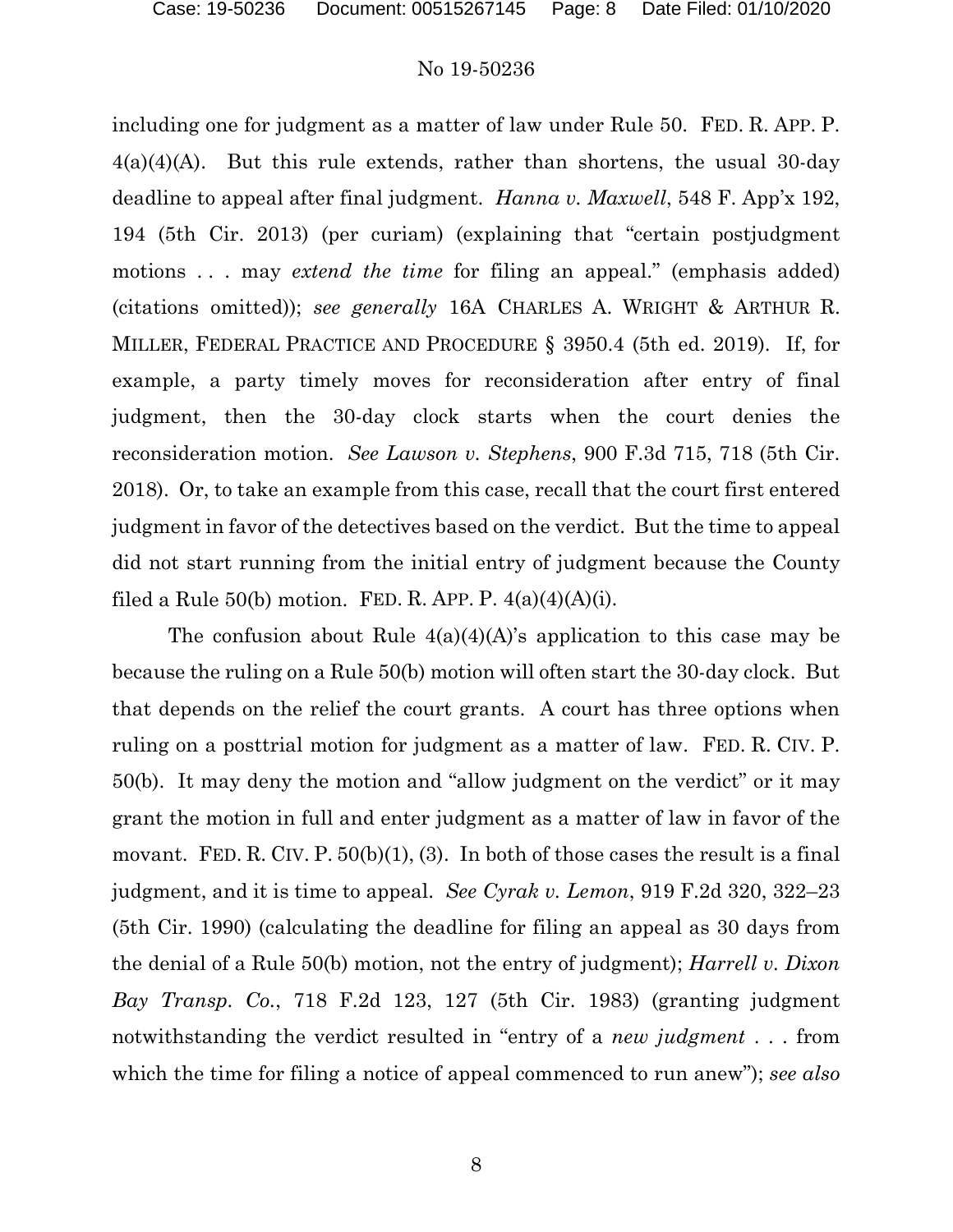including one for judgment as a matter of law under Rule 50. FED. R. APP. P.  $4(a)(4)(A)$ . But this rule extends, rather than shortens, the usual 30-day deadline to appeal after final judgment. *Hanna v. Maxwell*, 548 F. App'x 192, 194 (5th Cir. 2013) (per curiam) (explaining that "certain postjudgment motions . . . may *extend the time* for filing an appeal." (emphasis added) (citations omitted)); *see generally* 16A CHARLES A. WRIGHT & ARTHUR R. MILLER, FEDERAL PRACTICE AND PROCEDURE § 3950.4 (5th ed. 2019). If, for example, a party timely moves for reconsideration after entry of final judgment, then the 30-day clock starts when the court denies the reconsideration motion. *See Lawson v. Stephens*, 900 F.3d 715, 718 (5th Cir. 2018). Or, to take an example from this case, recall that the court first entered judgment in favor of the detectives based on the verdict. But the time to appeal did not start running from the initial entry of judgment because the County filed a Rule  $50(b)$  motion. FED. R. APP. P.  $4(a)(4)(A)(i)$ .

The confusion about Rule  $4(a)(4)(A)$ 's application to this case may be because the ruling on a Rule 50(b) motion will often start the 30-day clock. But that depends on the relief the court grants. A court has three options when ruling on a posttrial motion for judgment as a matter of law. FED. R. CIV. P. 50(b). It may deny the motion and "allow judgment on the verdict" or it may grant the motion in full and enter judgment as a matter of law in favor of the movant. FED. R. CIV. P.  $50(b)(1)$ , (3). In both of those cases the result is a final judgment, and it is time to appeal. *See Cyrak v. Lemon*, 919 F.2d 320, 322–23 (5th Cir. 1990) (calculating the deadline for filing an appeal as 30 days from the denial of a Rule 50(b) motion, not the entry of judgment); *Harrell v. Dixon Bay Transp. Co.*, 718 F.2d 123, 127 (5th Cir. 1983) (granting judgment notwithstanding the verdict resulted in "entry of a *new judgment* . . . from which the time for filing a notice of appeal commenced to run anew"); *see also*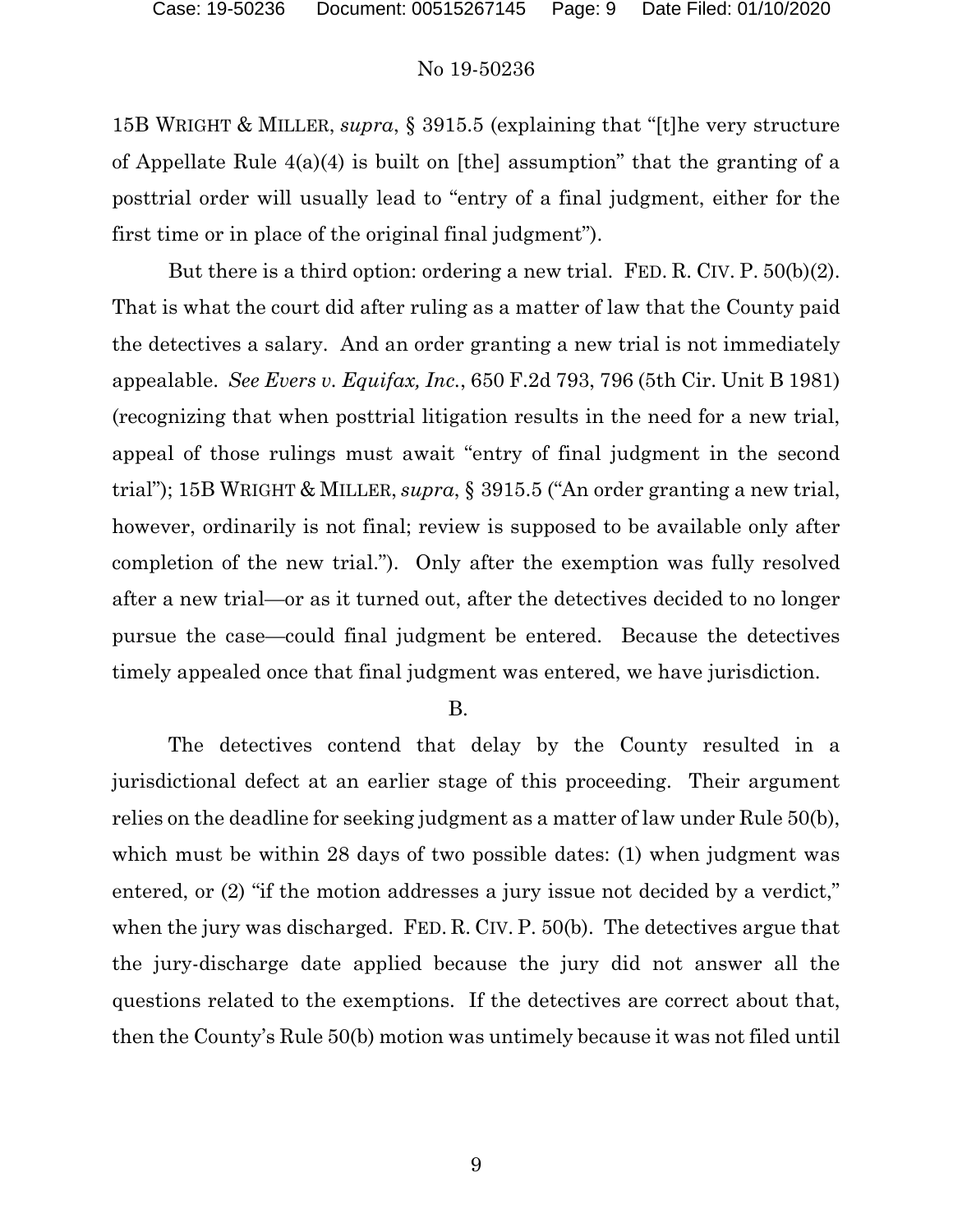15B WRIGHT & MILLER, *supra*, § 3915.5 (explaining that "[t]he very structure of Appellate Rule 4(a)(4) is built on [the] assumption" that the granting of a posttrial order will usually lead to "entry of a final judgment, either for the first time or in place of the original final judgment").

But there is a third option: ordering a new trial. FED. R. CIV. P. 50(b)(2). That is what the court did after ruling as a matter of law that the County paid the detectives a salary. And an order granting a new trial is not immediately appealable. *See Evers v. Equifax, Inc.*, 650 F.2d 793, 796 (5th Cir. Unit B 1981) (recognizing that when posttrial litigation results in the need for a new trial, appeal of those rulings must await "entry of final judgment in the second trial"); 15B WRIGHT & MILLER, *supra*, § 3915.5 ("An order granting a new trial, however, ordinarily is not final; review is supposed to be available only after completion of the new trial."). Only after the exemption was fully resolved after a new trial—or as it turned out, after the detectives decided to no longer pursue the case—could final judgment be entered. Because the detectives timely appealed once that final judgment was entered, we have jurisdiction.

B.

The detectives contend that delay by the County resulted in a jurisdictional defect at an earlier stage of this proceeding. Their argument relies on the deadline for seeking judgment as a matter of law under Rule 50(b), which must be within 28 days of two possible dates: (1) when judgment was entered, or (2) "if the motion addresses a jury issue not decided by a verdict," when the jury was discharged. FED. R. CIV. P. 50(b). The detectives argue that the jury-discharge date applied because the jury did not answer all the questions related to the exemptions. If the detectives are correct about that, then the County's Rule 50(b) motion was untimely because it was not filed until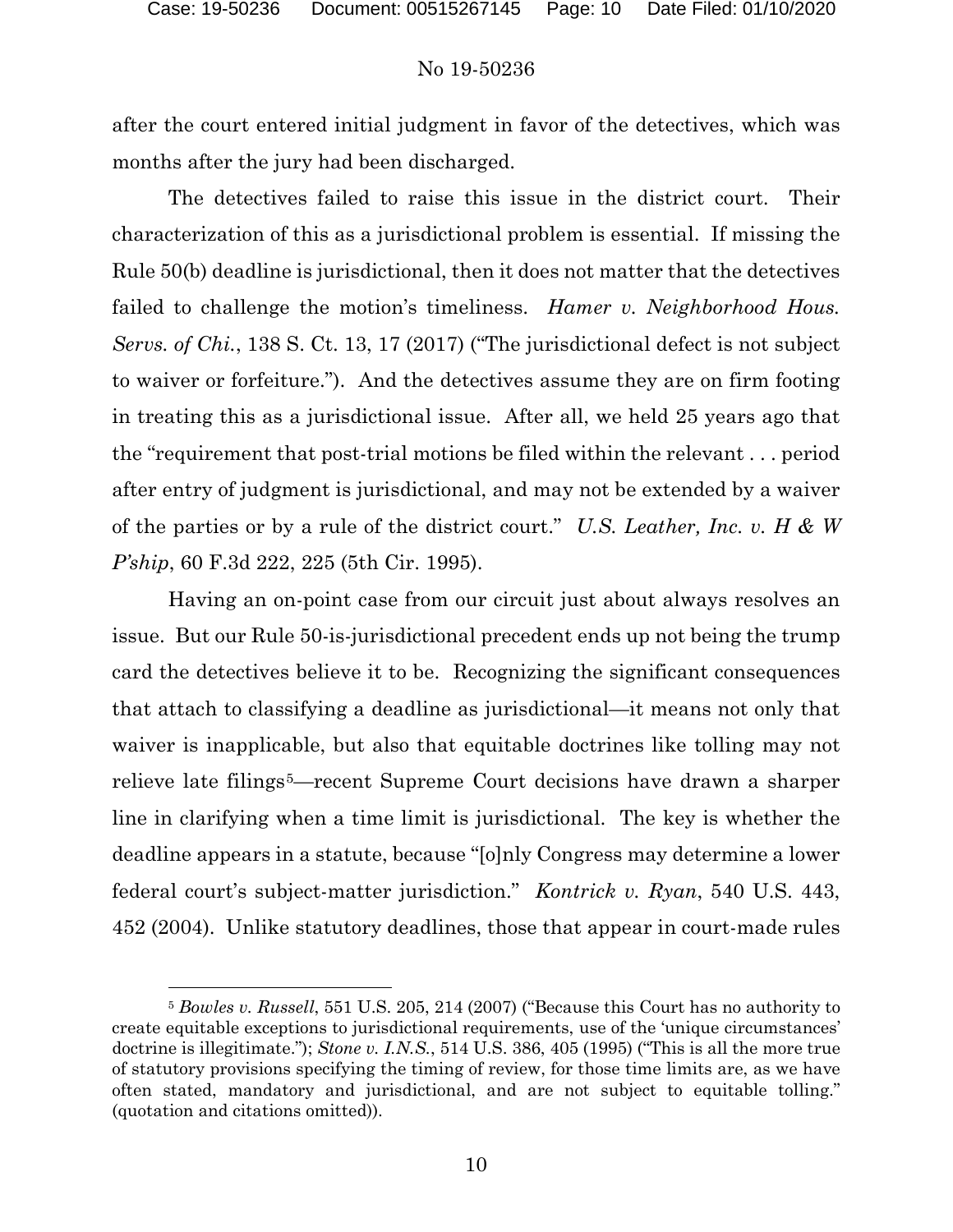l

## No 19-50236

after the court entered initial judgment in favor of the detectives, which was months after the jury had been discharged.

The detectives failed to raise this issue in the district court. Their characterization of this as a jurisdictional problem is essential. If missing the Rule 50(b) deadline is jurisdictional, then it does not matter that the detectives failed to challenge the motion's timeliness. *Hamer v. Neighborhood Hous. Servs. of Chi.*, 138 S. Ct. 13, 17 (2017) ("The jurisdictional defect is not subject to waiver or forfeiture.").And the detectives assume they are on firm footing in treating this as a jurisdictional issue. After all, we held 25 years ago that the "requirement that post-trial motions be filed within the relevant . . . period after entry of judgment is jurisdictional, and may not be extended by a waiver of the parties or by a rule of the district court." *U.S. Leather, Inc. v. H & W P'ship*, 60 F.3d 222, 225 (5th Cir. 1995).

Having an on-point case from our circuit just about always resolves an issue. But our Rule 50-is-jurisdictional precedent ends up not being the trump card the detectives believe it to be. Recognizing the significant consequences that attach to classifying a deadline as jurisdictional—it means not only that waiver is inapplicable, but also that equitable doctrines like tolling may not relieve late filings<sup>5</sup>—recent Supreme Court decisions have drawn a sharper line in clarifying when a time limit is jurisdictional. The key is whether the deadline appears in a statute, because "[o]nly Congress may determine a lower federal court's subject-matter jurisdiction." *Kontrick v. Ryan*, 540 U.S. 443, 452 (2004). Unlike statutory deadlines, those that appear in court-made rules

<span id="page-9-0"></span><sup>5</sup> *Bowles v. Russell*, 551 U.S. 205, 214 (2007) ("Because this Court has no authority to create equitable exceptions to jurisdictional requirements, use of the 'unique circumstances' doctrine is illegitimate."); *Stone v. I.N.S.*, 514 U.S. 386, 405 (1995) ("This is all the more true of statutory provisions specifying the timing of review, for those time limits are, as we have often stated, mandatory and jurisdictional, and are not subject to equitable tolling." (quotation and citations omitted)).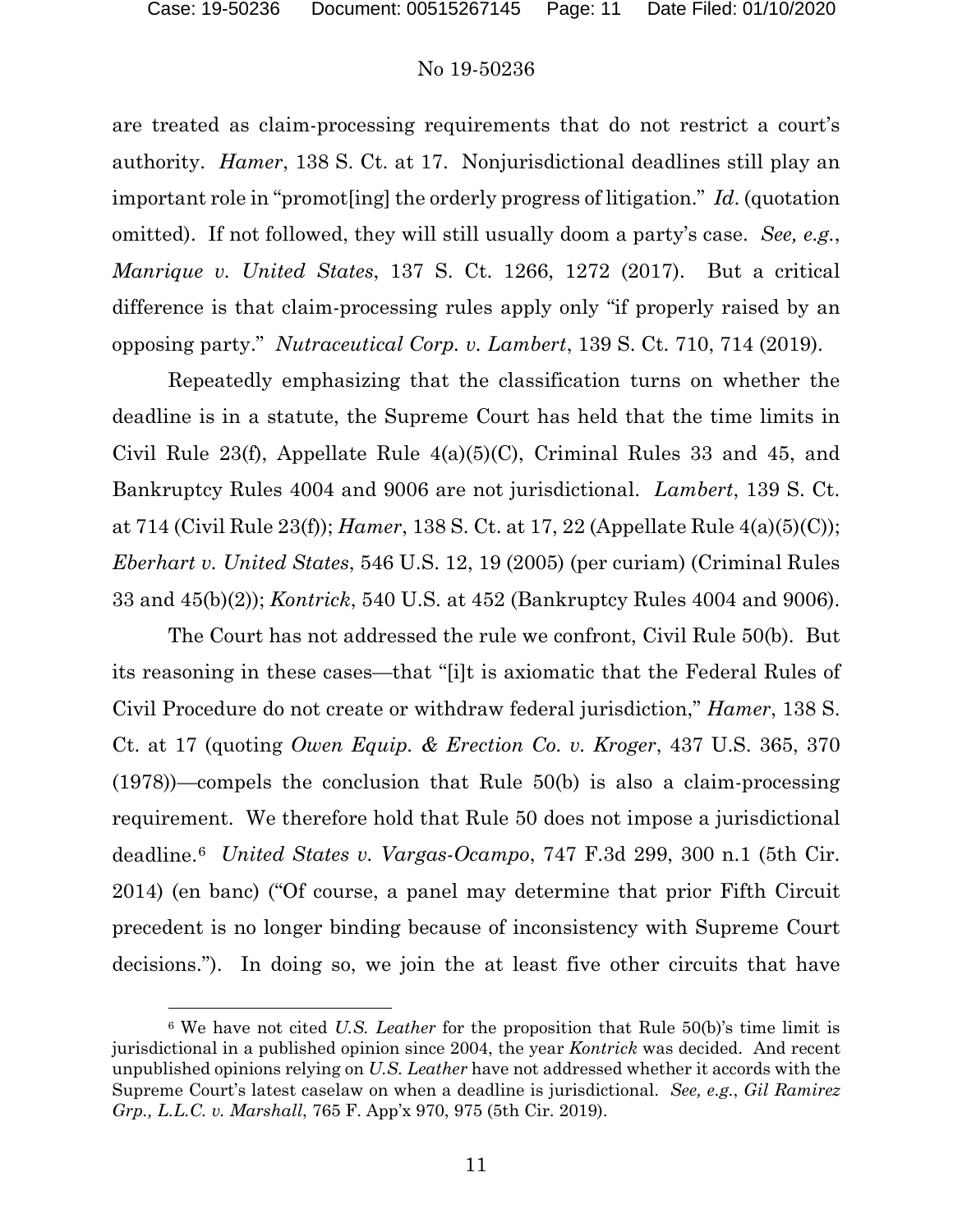$\overline{a}$ 

#### No 19-50236

are treated as claim-processing requirements that do not restrict a court's authority. *Hamer*, 138 S. Ct. at 17.Nonjurisdictional deadlines still play an important role in "promot[ing] the orderly progress of litigation." *Id*. (quotation omitted). If not followed, they will still usually doom a party's case. *See, e.g.*, *Manrique v. United States*, 137 S. Ct. 1266, 1272 (2017). But a critical difference is that claim-processing rules apply only "if properly raised by an opposing party." *Nutraceutical Corp. v. Lambert*, 139 S. Ct. 710, 714 (2019).

Repeatedly emphasizing that the classification turns on whether the deadline is in a statute, the Supreme Court has held that the time limits in Civil Rule 23(f), Appellate Rule 4(a)(5)(C), Criminal Rules 33 and 45, and Bankruptcy Rules 4004 and 9006 are not jurisdictional. *Lambert*, 139 S. Ct. at 714 (Civil Rule 23(f)); *Hamer*, 138 S. Ct. at 17, 22 (Appellate Rule 4(a)(5)(C)); *Eberhart v. United States*, 546 U.S. 12, 19 (2005) (per curiam) (Criminal Rules 33 and 45(b)(2)); *Kontrick*, 540 U.S. at 452 (Bankruptcy Rules 4004 and 9006).

The Court has not addressed the rule we confront, Civil Rule 50(b). But its reasoning in these cases—that "[i]t is axiomatic that the Federal Rules of Civil Procedure do not create or withdraw federal jurisdiction," *Hamer*, 138 S. Ct. at 17 (quoting *Owen Equip. & Erection Co. v. Kroger*, 437 U.S. 365, 370 (1978))—compels the conclusion that Rule 50(b) is also a claim-processing requirement. We therefore hold that Rule 50 does not impose a jurisdictional deadline.[6](#page-10-0) *United States v. Vargas-Ocampo*, 747 F.3d 299, 300 n.1 (5th Cir. 2014) (en banc) ("Of course, a panel may determine that prior Fifth Circuit precedent is no longer binding because of inconsistency with Supreme Court decisions."). In doing so, we join the at least five other circuits that have

<span id="page-10-0"></span><sup>6</sup> We have not cited *U.S. Leather* for the proposition that Rule 50(b)'s time limit is jurisdictional in a published opinion since 2004, the year *Kontrick* was decided. And recent unpublished opinions relying on *U.S. Leather* have not addressed whether it accords with the Supreme Court's latest caselaw on when a deadline is jurisdictional. *See, e.g.*, *Gil Ramirez Grp., L.L.C. v. Marshall*, 765 F. App'x 970, 975 (5th Cir. 2019).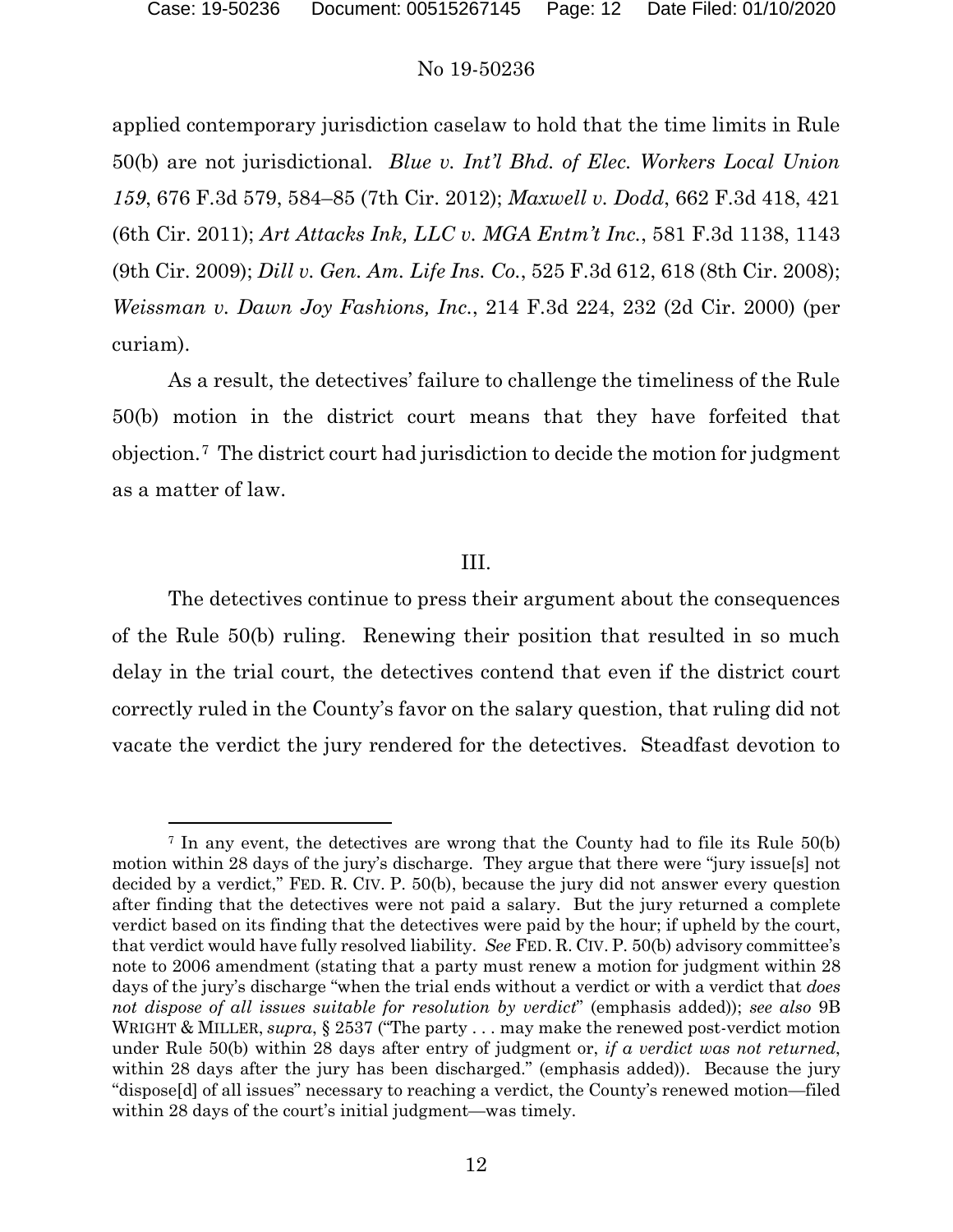l

# No 19-50236

applied contemporary jurisdiction caselaw to hold that the time limits in Rule 50(b) are not jurisdictional. *Blue v. Int'l Bhd. of Elec. Workers Local Union 159*, 676 F.3d 579, 584–85 (7th Cir. 2012); *Maxwell v. Dodd*, 662 F.3d 418, 421 (6th Cir. 2011); *Art Attacks Ink, LLC v. MGA Entm't Inc.*, 581 F.3d 1138, 1143 (9th Cir. 2009); *Dill v. Gen. Am. Life Ins. Co.*, 525 F.3d 612, 618 (8th Cir. 2008); *Weissman v. Dawn Joy Fashions, Inc.*, 214 F.3d 224, 232 (2d Cir. 2000) (per curiam).

As a result, the detectives' failure to challenge the timeliness of the Rule 50(b) motion in the district court means that they have forfeited that objection.[7](#page-11-0) The district court had jurisdiction to decide the motion for judgment as a matter of law.

## III.

The detectives continue to press their argument about the consequences of the Rule 50(b) ruling. Renewing their position that resulted in so much delay in the trial court, the detectives contend that even if the district court correctly ruled in the County's favor on the salary question, that ruling did not vacate the verdict the jury rendered for the detectives. Steadfast devotion to

<span id="page-11-0"></span><sup>7</sup> In any event, the detectives are wrong that the County had to file its Rule 50(b) motion within 28 days of the jury's discharge. They argue that there were "jury issue[s] not decided by a verdict," FED. R. CIV. P. 50(b), because the jury did not answer every question after finding that the detectives were not paid a salary. But the jury returned a complete verdict based on its finding that the detectives were paid by the hour; if upheld by the court, that verdict would have fully resolved liability. *See* FED. R. CIV. P. 50(b) advisory committee's note to 2006 amendment (stating that a party must renew a motion for judgment within 28 days of the jury's discharge "when the trial ends without a verdict or with a verdict that *does not dispose of all issues suitable for resolution by verdict*" (emphasis added)); *see also* 9B WRIGHT & MILLER, *supra*, § 2537 ("The party . . . may make the renewed post-verdict motion under Rule 50(b) within 28 days after entry of judgment or, *if a verdict was not returned*, within 28 days after the jury has been discharged." (emphasis added)). Because the jury "dispose[d] of all issues" necessary to reaching a verdict, the County's renewed motion—filed within 28 days of the court's initial judgment—was timely.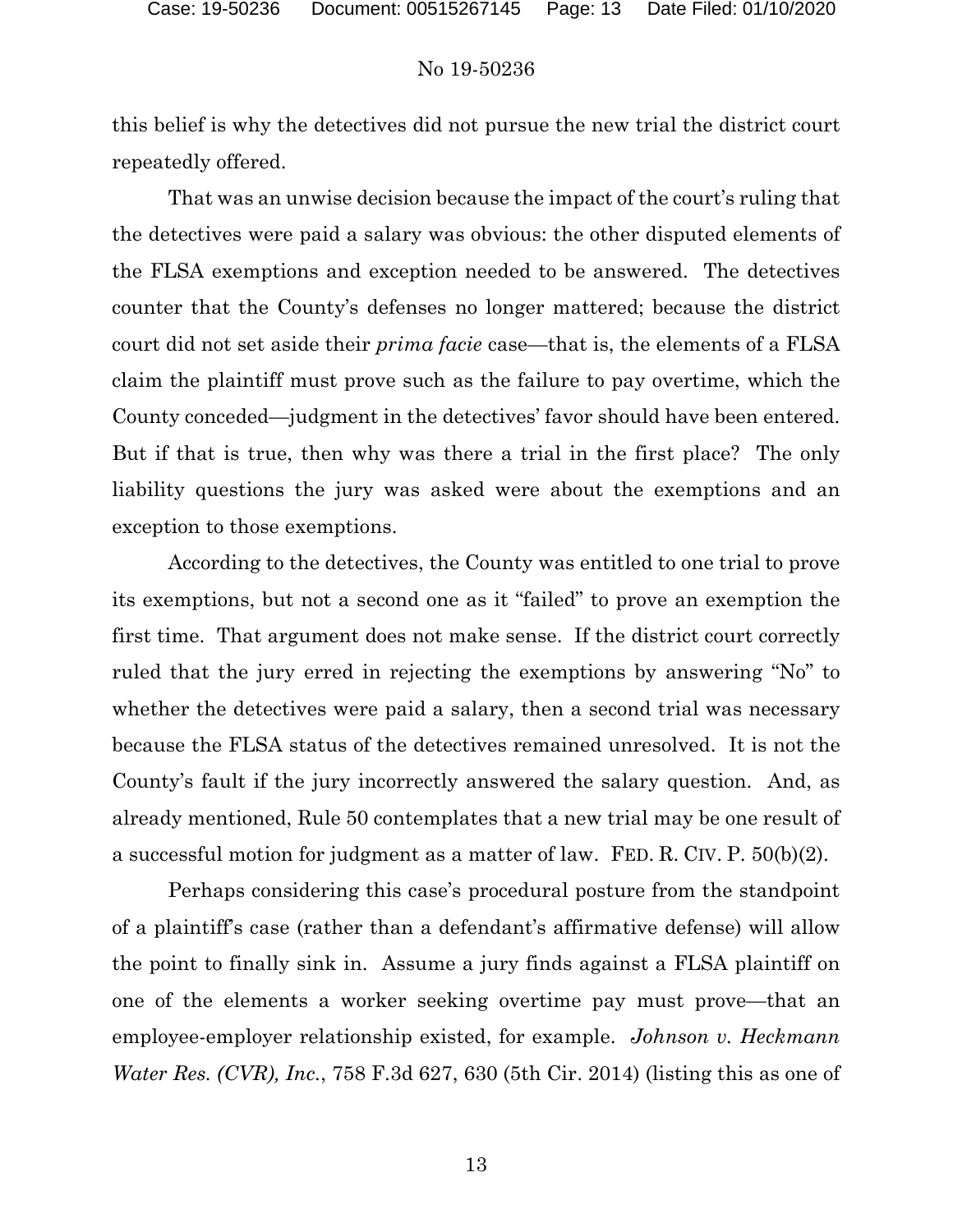this belief is why the detectives did not pursue the new trial the district court repeatedly offered.

That was an unwise decision because the impact of the court's ruling that the detectives were paid a salary was obvious: the other disputed elements of the FLSA exemptions and exception needed to be answered. The detectives counter that the County's defenses no longer mattered; because the district court did not set aside their *prima facie* case—that is, the elements of a FLSA claim the plaintiff must prove such as the failure to pay overtime, which the County conceded—judgment in the detectives' favor should have been entered. But if that is true, then why was there a trial in the first place? The only liability questions the jury was asked were about the exemptions and an exception to those exemptions.

According to the detectives, the County was entitled to one trial to prove its exemptions, but not a second one as it "failed" to prove an exemption the first time. That argument does not make sense. If the district court correctly ruled that the jury erred in rejecting the exemptions by answering "No" to whether the detectives were paid a salary, then a second trial was necessary because the FLSA status of the detectives remained unresolved. It is not the County's fault if the jury incorrectly answered the salary question. And, as already mentioned, Rule 50 contemplates that a new trial may be one result of a successful motion for judgment as a matter of law. FED. R. CIV. P. 50(b)(2).

Perhaps considering this case's procedural posture from the standpoint of a plaintiff's case (rather than a defendant's affirmative defense) will allow the point to finally sink in. Assume a jury finds against a FLSA plaintiff on one of the elements a worker seeking overtime pay must prove—that an employee-employer relationship existed, for example. *Johnson v. Heckmann Water Res. (CVR), Inc.*, 758 F.3d 627, 630 (5th Cir. 2014) (listing this as one of

13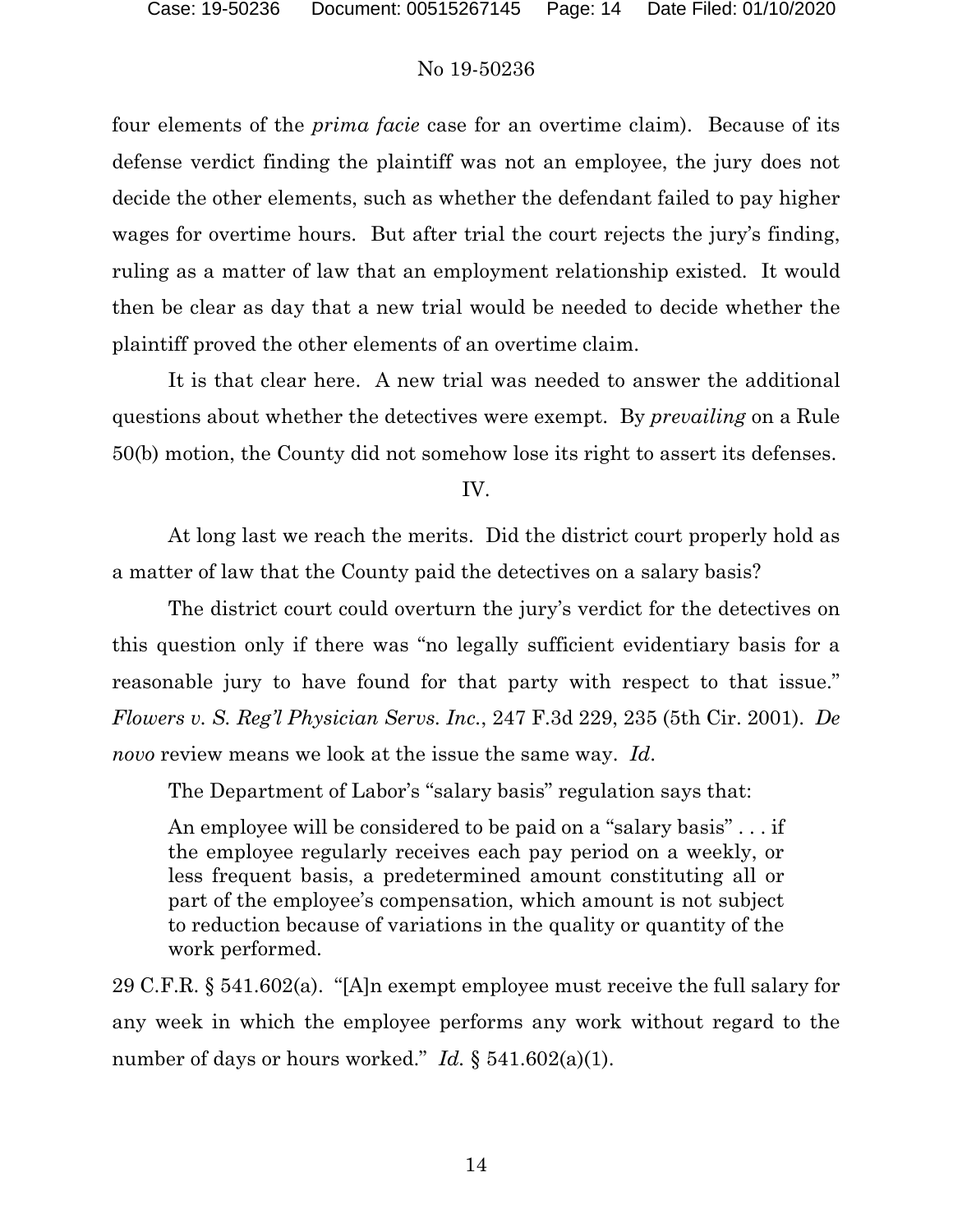four elements of the *prima facie* case for an overtime claim). Because of its defense verdict finding the plaintiff was not an employee, the jury does not decide the other elements, such as whether the defendant failed to pay higher wages for overtime hours. But after trial the court rejects the jury's finding, ruling as a matter of law that an employment relationship existed. It would then be clear as day that a new trial would be needed to decide whether the plaintiff proved the other elements of an overtime claim.

It is that clear here. A new trial was needed to answer the additional questions about whether the detectives were exempt. By *prevailing* on a Rule 50(b) motion, the County did not somehow lose its right to assert its defenses.

IV.

At long last we reach the merits. Did the district court properly hold as a matter of law that the County paid the detectives on a salary basis?

The district court could overturn the jury's verdict for the detectives on this question only if there was "no legally sufficient evidentiary basis for a reasonable jury to have found for that party with respect to that issue." *Flowers v. S. Reg'l Physician Servs. Inc.*, 247 F.3d 229, 235 (5th Cir. 2001). *De novo* review means we look at the issue the same way. *Id*.

The Department of Labor's "salary basis" regulation says that:

An employee will be considered to be paid on a "salary basis" . . . if the employee regularly receives each pay period on a weekly, or less frequent basis, a predetermined amount constituting all or part of the employee's compensation, which amount is not subject to reduction because of variations in the quality or quantity of the work performed.

29 C.F.R. § 541.602(a). "[A]n exempt employee must receive the full salary for any week in which the employee performs any work without regard to the number of days or hours worked." *Id.* § 541.602(a)(1).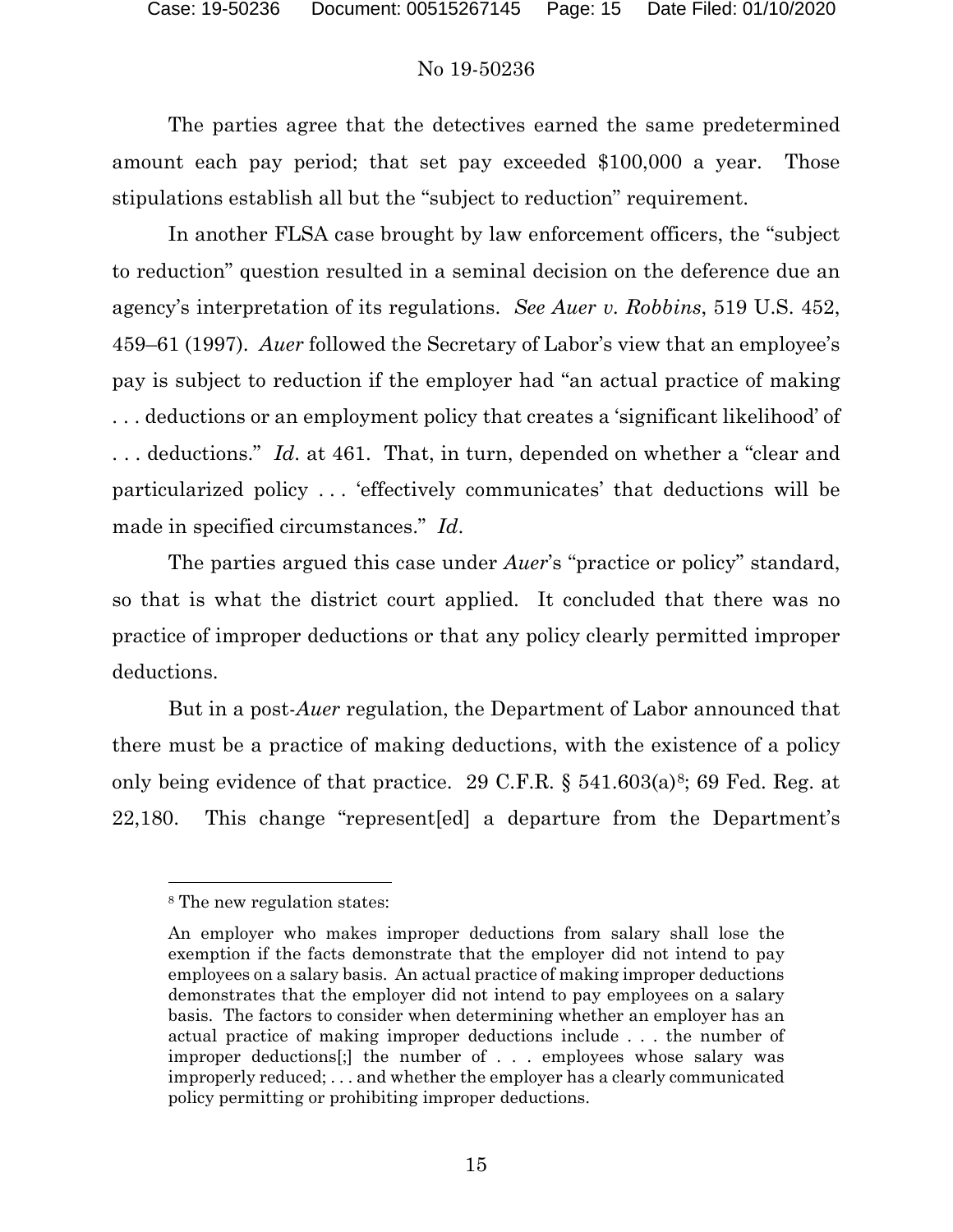The parties agree that the detectives earned the same predetermined amount each pay period; that set pay exceeded \$100,000 a year. Those stipulations establish all but the "subject to reduction" requirement.

In another FLSA case brought by law enforcement officers, the "subject to reduction" question resulted in a seminal decision on the deference due an agency's interpretation of its regulations. *See Auer v. Robbins*, 519 U.S. 452, 459–61 (1997). *Auer* followed the Secretary of Labor's view that an employee's pay is subject to reduction if the employer had "an actual practice of making . . . deductions or an employment policy that creates a 'significant likelihood' of . . . deductions." *Id*. at 461. That, in turn, depended on whether a "clear and particularized policy . . . 'effectively communicates' that deductions will be made in specified circumstances." *Id*.

The parties argued this case under *Auer*'s "practice or policy" standard, so that is what the district court applied. It concluded that there was no practice of improper deductions or that any policy clearly permitted improper deductions.

But in a post-*Auer* regulation, the Department of Labor announced that there must be a practice of making deductions, with the existence of a policy only being evidence of that practice. 29 C.F.R.  $\S$  541.603(a)<sup>8</sup>; 69 Fed. Reg. at 22,180. This change "represent[ed] a departure from the Department's

l

<span id="page-14-0"></span><sup>8</sup> The new regulation states:

An employer who makes improper deductions from salary shall lose the exemption if the facts demonstrate that the employer did not intend to pay employees on a salary basis. An actual practice of making improper deductions demonstrates that the employer did not intend to pay employees on a salary basis. The factors to consider when determining whether an employer has an actual practice of making improper deductions include . . . the number of improper deductions[;] the number of . . . employees whose salary was improperly reduced; . . . and whether the employer has a clearly communicated policy permitting or prohibiting improper deductions.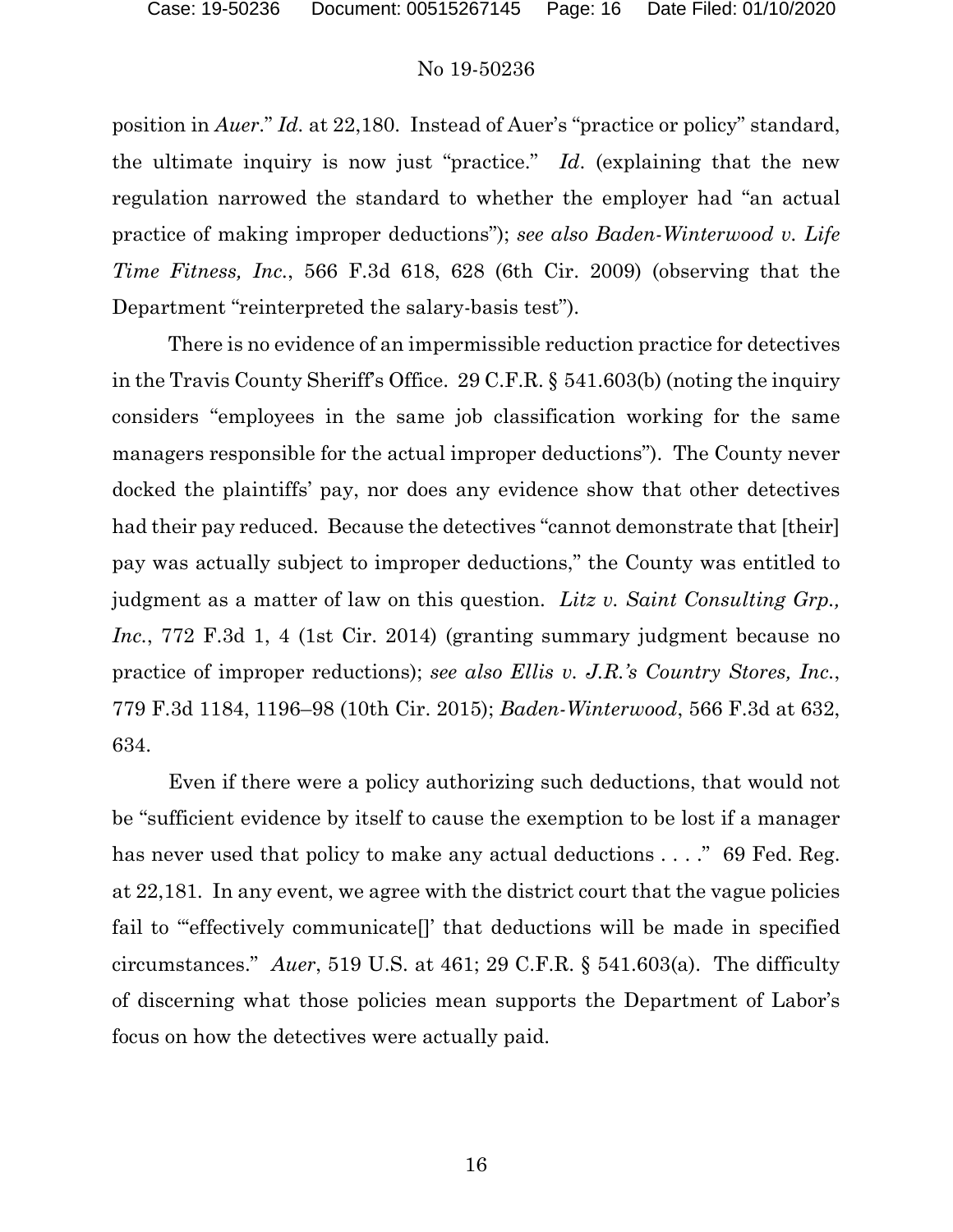position in *Auer*." *Id.* at 22,180. Instead of Auer's "practice or policy" standard, the ultimate inquiry is now just "practice." *Id*. (explaining that the new regulation narrowed the standard to whether the employer had "an actual practice of making improper deductions"); *see also Baden-Winterwood v. Life Time Fitness, Inc.*, 566 F.3d 618, 628 (6th Cir. 2009) (observing that the Department "reinterpreted the salary-basis test").

There is no evidence of an impermissible reduction practice for detectives in the Travis County Sheriff's Office. 29 C.F.R. § 541.603(b) (noting the inquiry considers "employees in the same job classification working for the same managers responsible for the actual improper deductions"). The County never docked the plaintiffs' pay, nor does any evidence show that other detectives had their pay reduced. Because the detectives "cannot demonstrate that [their] pay was actually subject to improper deductions," the County was entitled to judgment as a matter of law on this question. *Litz v. Saint Consulting Grp., Inc.*, 772 F.3d 1, 4 (1st Cir. 2014) (granting summary judgment because no practice of improper reductions); *see also Ellis v. J.R.'s Country Stores, Inc.*, 779 F.3d 1184, 1196–98 (10th Cir. 2015); *Baden-Winterwood*, 566 F.3d at 632, 634.

Even if there were a policy authorizing such deductions, that would not be "sufficient evidence by itself to cause the exemption to be lost if a manager has never used that policy to make any actual deductions . . . ." 69 Fed. Reg. at 22,181*.* In any event, we agree with the district court that the vague policies fail to "effectively communicate<sup>[]</sup> that deductions will be made in specified circumstances." *Auer*, 519 U.S. at 461; 29 C.F.R. § 541.603(a). The difficulty of discerning what those policies mean supports the Department of Labor's focus on how the detectives were actually paid.